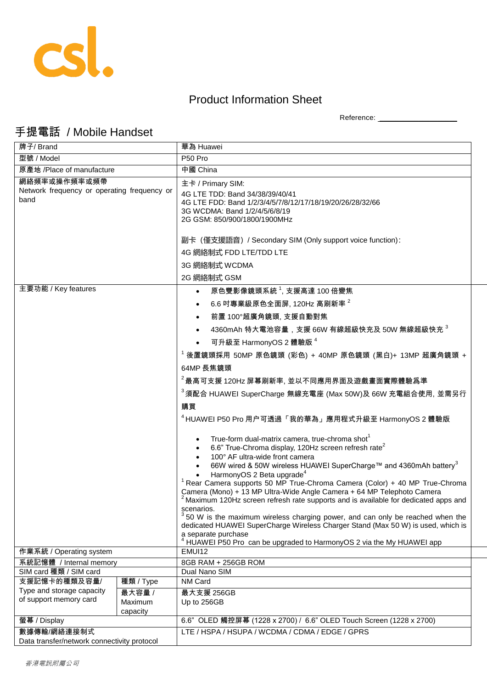

## Product Information Sheet

Reference: \_\_\_\_\_\_\_\_\_\_\_\_\_\_\_\_\_\_\_\_

## 手提電話 / Mobile Handset

| 牌子/ Brand                                                                                           |                               | 華為 Huawei                                                                                                                                                                                                                                                                                                                                                                                                                                                                                                                                                                                                                                                                                                                                                                                                                                                                                                                                                                                                                                                                                                                                                                                                                                                                                                                                                                                                |
|-----------------------------------------------------------------------------------------------------|-------------------------------|----------------------------------------------------------------------------------------------------------------------------------------------------------------------------------------------------------------------------------------------------------------------------------------------------------------------------------------------------------------------------------------------------------------------------------------------------------------------------------------------------------------------------------------------------------------------------------------------------------------------------------------------------------------------------------------------------------------------------------------------------------------------------------------------------------------------------------------------------------------------------------------------------------------------------------------------------------------------------------------------------------------------------------------------------------------------------------------------------------------------------------------------------------------------------------------------------------------------------------------------------------------------------------------------------------------------------------------------------------------------------------------------------------|
| 型號 / Model                                                                                          |                               | P50 Pro                                                                                                                                                                                                                                                                                                                                                                                                                                                                                                                                                                                                                                                                                                                                                                                                                                                                                                                                                                                                                                                                                                                                                                                                                                                                                                                                                                                                  |
| 原產地 /Place of manufacture                                                                           |                               | 中國 China                                                                                                                                                                                                                                                                                                                                                                                                                                                                                                                                                                                                                                                                                                                                                                                                                                                                                                                                                                                                                                                                                                                                                                                                                                                                                                                                                                                                 |
| 網絡頻率或操作頻率或頻帶<br>Network frequency or operating frequency or<br>band                                 |                               | 主卡 / Primary SIM:<br>4G LTE TDD: Band 34/38/39/40/41<br>4G LTE FDD: Band 1/2/3/4/5/7/8/12/17/18/19/20/26/28/32/66<br>3G WCDMA: Band 1/2/4/5/6/8/19<br>2G GSM: 850/900/1800/1900MHz<br>副卡 (僅支援語音) / Secondary SIM (Only support voice function):<br>4G 網絡制式 FDD LTE/TDD LTE<br>3G 網絡制式 WCDMA                                                                                                                                                                                                                                                                                                                                                                                                                                                                                                                                                                                                                                                                                                                                                                                                                                                                                                                                                                                                                                                                                                              |
|                                                                                                     |                               | 2G 網絡制式 GSM                                                                                                                                                                                                                                                                                                                                                                                                                                                                                                                                                                                                                                                                                                                                                                                                                                                                                                                                                                                                                                                                                                                                                                                                                                                                                                                                                                                              |
| 主要功能 / Key features<br>作業系統 / Operating system<br>系統記憶體 / Internal memory<br>SIM card 種類 / SIM card |                               | 原色雙影像鏡頭系統 1, 支援高達 100 倍變焦<br>6.6 吋專業級原色全面屏, 120Hz 高刷新率 <sup>2</sup><br>前置 100°超廣角鏡頭, 支援自動對焦<br>4360mAh 特大電池容量,支援 66W 有線超級快充及 50W 無線超級快充 $^3$<br>可升級至 HarmonyOS 2 體驗版 <sup>4</sup><br><sup>1</sup> 後置鏡頭採用 50MP 原色鏡頭 (彩色) + 40MP 原色鏡頭 (黑白)+ 13MP 超廣角鏡頭 +<br>64MP 長焦鏡頭<br>$^2$ 最高可支援 120Hz 屏幕刷新率, 並以不同應用界面及遊戲畫面實際體驗爲準<br><sup>3</sup> 須配合 HUAWEI SuperCharge 無線充電座 (Max 50W)及 66W 充電組合使用, 並需另行<br>購買<br><sup>4</sup> HUAWEI P50 Pro 用户可透過「我的華為」應用程式升級至 HarmonyOS 2 體驗版<br>True-form dual-matrix camera, true-chroma shot <sup>1</sup><br>6.6" True-Chroma display, 120Hz screen refresh rate <sup>2</sup><br>100° AF ultra-wide front camera<br>66W wired & 50W wireless HUAWEI SuperCharge™ and 4360mAh battery <sup>3</sup><br>HarmonyOS 2 Beta upgrade <sup>4</sup><br><sup>1</sup> Rear Camera supports 50 MP True-Chroma Camera (Color) + 40 MP True-Chroma<br>Camera (Mono) + 13 MP Ultra-Wide Angle Camera + 64 MP Telephoto Camera<br><sup>2</sup> Maximum 120Hz screen refresh rate supports and is available for dedicated apps and<br>scenarios.<br>$350$ W is the maximum wireless charging power, and can only be reached when the<br>dedicated HUAWEI SuperCharge Wireless Charger Stand (Max 50 W) is used, which is<br>a separate purchase<br><sup>4</sup> HUAWEI P50 Pro can be upgraded to HarmonyOS 2 via the My HUAWEI app<br>EMUI12<br>8GB RAM + 256GB ROM<br>Dual Nano SIM<br>NM Card |
| 支援記憶卡的種類及容量/                                                                                        | 種類 / Type                     |                                                                                                                                                                                                                                                                                                                                                                                                                                                                                                                                                                                                                                                                                                                                                                                                                                                                                                                                                                                                                                                                                                                                                                                                                                                                                                                                                                                                          |
| Type and storage capacity<br>of support memory card                                                 | 最大容量 /<br>Maximum<br>capacity | 最大支援 256GB<br>Up to 256GB                                                                                                                                                                                                                                                                                                                                                                                                                                                                                                                                                                                                                                                                                                                                                                                                                                                                                                                                                                                                                                                                                                                                                                                                                                                                                                                                                                                |
| 螢幕 / Display                                                                                        |                               | 6.6" OLED 觸控屏幕 (1228 x 2700) / 6.6" OLED Touch Screen (1228 x 2700)                                                                                                                                                                                                                                                                                                                                                                                                                                                                                                                                                                                                                                                                                                                                                                                                                                                                                                                                                                                                                                                                                                                                                                                                                                                                                                                                      |
| 數據傳輸/網絡連接制式<br>Data transfer/network connectivity protocol                                          |                               | LTE / HSPA / HSUPA / WCDMA / CDMA / EDGE / GPRS                                                                                                                                                                                                                                                                                                                                                                                                                                                                                                                                                                                                                                                                                                                                                                                                                                                                                                                                                                                                                                                                                                                                                                                                                                                                                                                                                          |